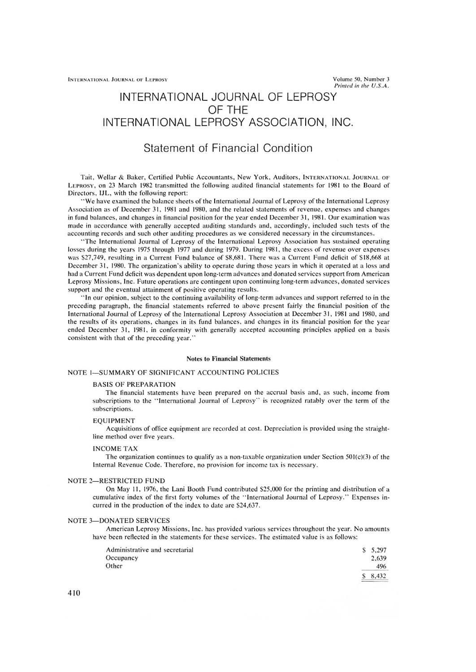# INTERNATIONAL JOURNAL OF LEPROSY OF THE INTERNATIONAL LEPROSY ASSOCIATION, INC.

# Statement of Financial Condition

Tait, Wellar & Baker, Certified Public Accountants, New York, Auditors, INTERNATIONAL JOURNAL OF LEPROSY, on 23 March 1982 transmitted the following audited financial statements for 1981 to the Board of Directors, IJL, with the following report:

"We have examined the balance sheets of the International Journal of Leprosy of the International Leprosy Association as of December 31, 1981 and 1980, and the related statements of revenue, expenses and changes in fund balances, and changes in financial position for the year ended December 31, 1981. Our examination was made in accordance with generally accepted auditing standards and, accordingly, included such tests of the accounting records and such other auditing procedures as we considered necessary in the circumstances.

"The International Journal of Leprosy of the International Leprosy Association has sustained operating losses during the years 1975 through 1977 and during 1979. During 1981, the excess of revenue over expenses was \$27,749, resulting in a Current Fund balance of \$8,681. There was a Current Fund deficit of \$18,668 at December 31, 1980. The organization's ability to operate during those years in which it operated at a loss and had a Current Fund deficit was dependent upon long-term advances and donated services support from American Leprosy Missions, Inc. Future operations are contingent upon continuing long-term advances, donated services support and the eventual attainment of positive operating results.

"In our opinion, subject to the continuing availability of long-term advances and support referred to in the preceding paragraph, the financial statements referred to above present fairly the financial position of the International Journal of Leprosy of the International Leprosy Association at December 31, 1981 and 1980, and the results of its operations, changes in its fund balances, and changes in its financial position for the year ended December 31, 1981, in conformity with generally accepted accounting principles applied on a basis consistent with that of the preceding year.''

#### Notes to Financial Statements

#### NOTE 1—SUMMARY OF SIGNIFICANT ACCOUNTING POLICIES

#### BASIS OF PREPARATION

The financial statements have been prepared on the accrual basis and, as such, income from subscriptions to the "International Journal of Leprosy" is recognized ratably over the term of the subscriptions.

#### EQUIPMENT

Acquisitions of office equipment are recorded at cost. Depreciation is provided using the straightline method over five years.

#### INCOME TAX

The organization continues to qualify as a non-taxable organization under Section  $501(c)(3)$  of the Internal Revenue Code. Therefore, no provision for income tax is necessary.

### NOTE 2—RESTRICTED FUND

On May 11, 1976, the Lani Booth Fund contributed \$25,000 for the printing and distribution of a cumulative index of the first forty volumes of the "International Journal of Leprosy." Expenses incurred in the production of the index to date are \$24,637.

#### NOTE 3—DONATED SERVICES

American Leprosy Missions, Inc. has provided various services throughout the year. No amounts have been reflected in the statements for these services. The estimated value is as follows:

| Administrative and secretarial | $S$ 5.297 |
|--------------------------------|-----------|
|                                |           |
| Occupancy                      | 2.639     |
| Other                          | 496       |
|                                | 8.432     |
|                                |           |

410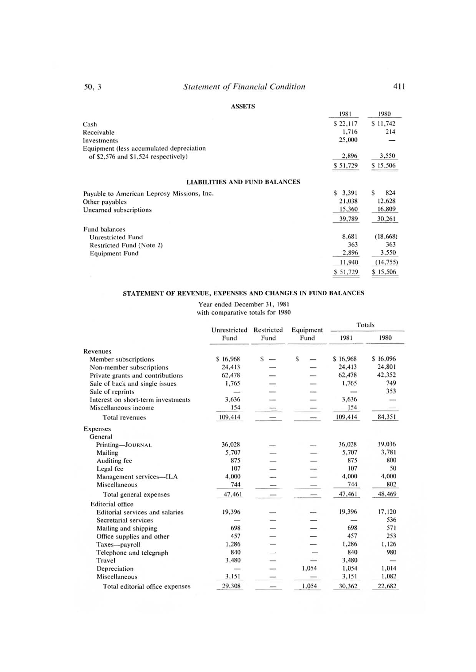## ASSETS

| 50, 3                                      | <b>Statement of Financial Condition</b> |          | 411       |
|--------------------------------------------|-----------------------------------------|----------|-----------|
|                                            | <b>ASSETS</b>                           |          |           |
|                                            |                                         | 1981     | 1980      |
| Cash                                       |                                         | \$22,117 | \$11,742  |
| Receivable                                 |                                         | 1,716    | 214       |
| Investments                                |                                         | 25,000   |           |
| Equipment (less accumulated depreciation   |                                         |          |           |
| of \$2,576 and \$1,524 respectively)       |                                         | 2,896    | 3,550     |
|                                            |                                         | \$51,729 | \$15,506  |
|                                            | <b>LIABILITIES AND FUND BALANCES</b>    |          |           |
| Payable to American Leprosy Missions, Inc. |                                         | \$3,391  | \$<br>824 |
| Other payables                             |                                         | 21,038   | 12,628    |
| Unearned subscriptions                     |                                         | 15,360   | 16,809    |
|                                            |                                         | 39,789   | 30,261    |
| <b>Fund balances</b>                       |                                         |          |           |
| <b>Unrestricted Fund</b>                   |                                         | 8,681    | (18, 668) |
| Restricted Fund (Note 2)                   |                                         | 363      | 363       |
| <b>Equipment Fund</b>                      |                                         | 2,896    | 3,550     |
|                                            |                                         | 11,940   | (14, 755) |
|                                            |                                         | \$51,729 | \$15,506  |

## STATEMENT OF REVENUE, EXPENSES AND CHANGES IN FUND BALANCES

Year ended December 31, 1981

with comparative totals for 1980

|                                    |          | Unrestricted<br>Restricted | Equipment | Totals   |          |
|------------------------------------|----------|----------------------------|-----------|----------|----------|
|                                    | Fund     | Fund                       | Fund      | 1981     | 1980     |
| Revenues                           |          |                            |           |          |          |
| Member subscriptions               | \$16,968 | S                          | \$        | \$16,968 | \$16,096 |
| Non-member subscriptions           | 24,413   |                            |           | 24,413   | 24,801   |
| Private grants and contributions   | 62,478   |                            |           | 62,478   | 42,352   |
| Sale of back and single issues     | 1,765    |                            |           | 1,765    | 749      |
| Sale of reprints                   |          |                            |           |          | 353      |
| Interest on short-term investments | 3,636    |                            |           | 3,636    |          |
| Miscellaneous income               | 154      |                            |           | 154      |          |
| <b>Total revenues</b>              | 109,414  |                            |           | 109,414  | 84,351   |
| <b>Expenses</b>                    |          |                            |           |          |          |
| General                            |          |                            |           |          |          |
| Printing-JOURNAL                   | 36,028   |                            |           | 36,028   | 39,036   |
| Mailing                            | 5,707    |                            |           | 5,707    | 3.781    |
| Auditing fee                       | 875      |                            |           | 875      | 800      |
| Legal fee                          | 107      |                            |           | 107      | 50       |
| Management services-ILA            | 4,000    |                            |           | 4,000    | 4,000    |
| Miscellaneous                      | 744      |                            |           | 744      | 802      |
| Total general expenses             | 47,461   |                            |           | 47,461   | 48,469   |
| <b>Editorial</b> office            |          |                            |           |          |          |
| Editorial services and salaries    | 19,396   |                            |           | 19,396   | 17,120   |
| Secretarial services               |          |                            |           |          | 536      |
| Mailing and shipping               | 698      |                            |           | 698      | 571      |
| Office supplies and other          | 457      |                            |           | 457      | 253      |
| Taxes-payroll                      | 1,286    |                            |           | 1,286    | 1,126    |
| Telephone and telegraph            | 840      |                            |           | 840      | 980      |
| Travel                             | 3,480    |                            |           | 3,480    |          |
| Depreciation                       |          |                            | 1,054     | 1,054    | 1,014    |
| Miscellaneous                      | 3,151    |                            |           | 3,151    | 1,082    |
| Total editorial office expenses    | 29,308   |                            | 1,054     | 30,362   | 22,682   |